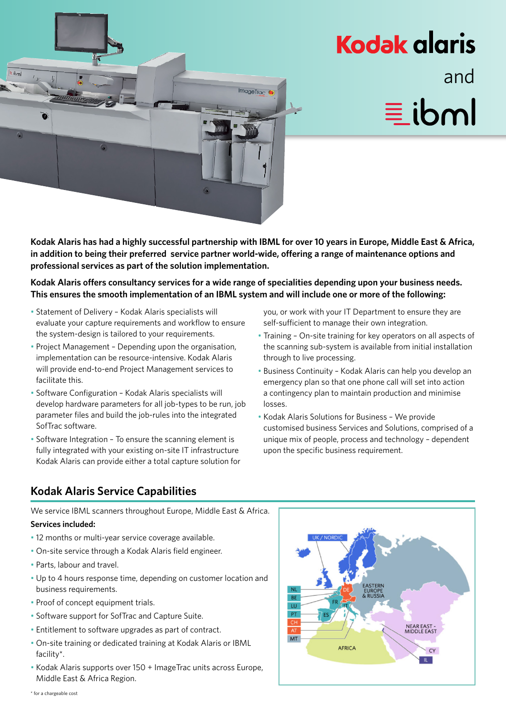

## **Kodak glaris** and **Wille**

**Kodak Alaris has had a highly successful partnership with IBML for over 10 years in Europe, Middle East & Africa, in addition to being their preferred service partner world-wide, offering a range of maintenance options and professional services as part of the solution implementation.**

**Kodak Alaris offers consultancy services for a wide range of specialities depending upon your business needs. This ensures the smooth implementation of an IBML system and will include one or more of the following:** 

- Statement of Delivery Kodak Alaris specialists will evaluate your capture requirements and workflow to ensure the system-design is tailored to your requirements.
- Project Management Depending upon the organisation, implementation can be resource-intensive. Kodak Alaris will provide end-to-end Project Management services to facilitate this.
- Software Configuration Kodak Alaris specialists will develop hardware parameters for all job-types to be run, job parameter files and build the job-rules into the integrated SofTrac software.
- Software Integration To ensure the scanning element is fully integrated with your existing on-site IT infrastructure Kodak Alaris can provide either a total capture solution for

you, or work with your IT Department to ensure they are self-sufficient to manage their own integration.

- Training On-site training for key operators on all aspects of the scanning sub-system is available from initial installation through to live processing.
- Business Continuity Kodak Alaris can help you develop an emergency plan so that one phone call will set into action a contingency plan to maintain production and minimise losses.
- Kodak Alaris Solutions for Business We provide customised business Services and Solutions, comprised of a unique mix of people, process and technology – dependent upon the specific business requirement.

## **Kodak Alaris Service Capabilities**

We service IBML scanners throughout Europe, Middle East & Africa.

## **Services included:**

- 12 months or multi-year service coverage available.
- On-site service through a Kodak Alaris field engineer.
- Parts, labour and travel.
- Up to 4 hours response time, depending on customer location and business requirements.
- Proof of concept equipment trials.
- Software support for SofTrac and Capture Suite.
- Entitlement to software upgrades as part of contract.
- On-site training or dedicated training at Kodak Alaris or IBML facility\*.
- Kodak Alaris supports over 150 + ImageTrac units across Europe, Middle East & Africa Region.